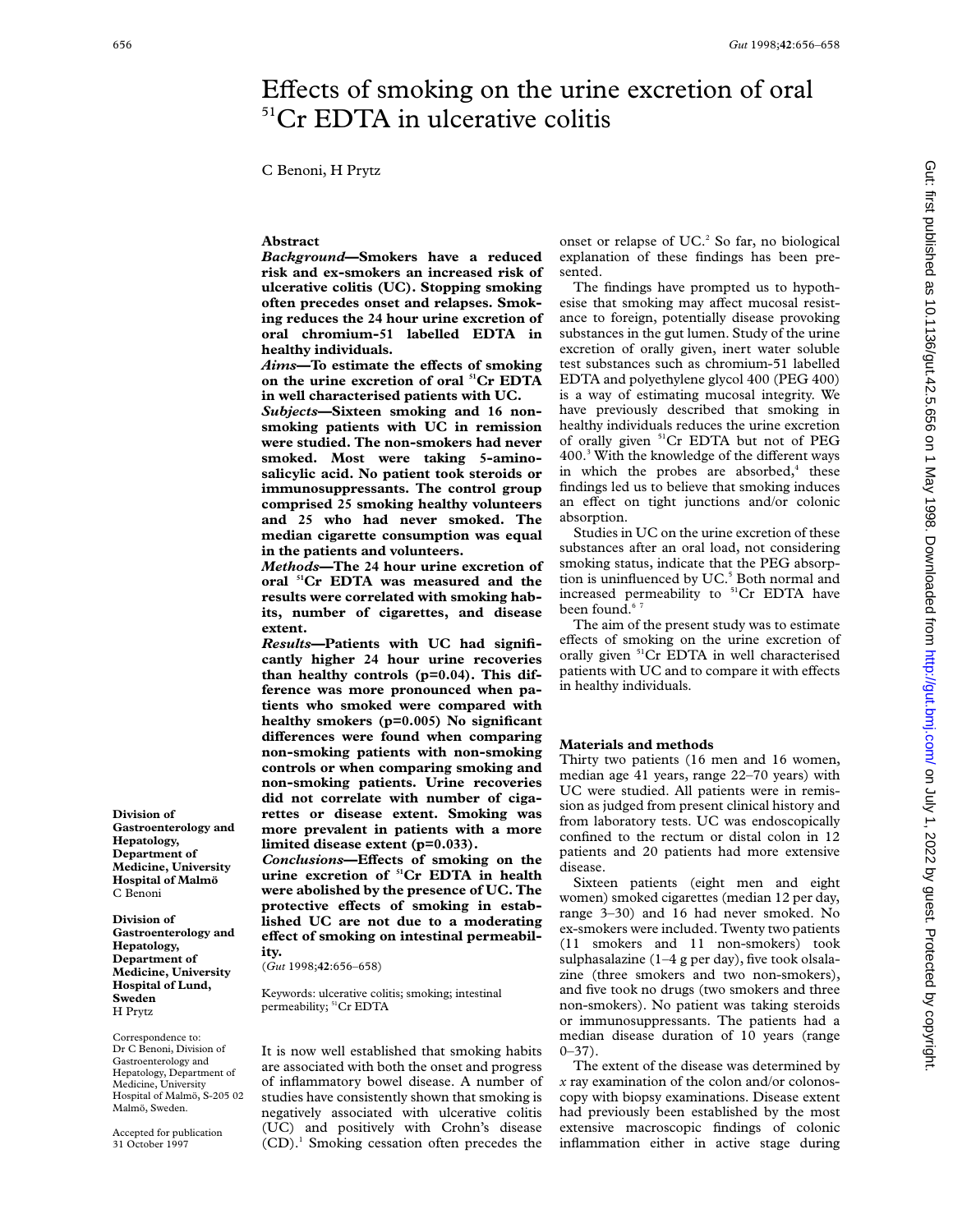# Effects of smoking on the urine excretion of oral <sup>51</sup>Cr EDTA in ulcerative colitis

C Benoni, H Prytz

## **Abstract**

*Background***—Smokers have a reduced risk and ex-smokers an increased risk of ulcerative colitis (UC). Stopping smoking often precedes onset and relapses. Smoking reduces the 24 hour urine excretion of oral chromium-51 labelled EDTA in healthy individuals.**

*Aims*—To estimate the effects of smoking **on the urine excretion of oral 51Cr EDTA in well characterised patients with UC.**

*Subjects***—Sixteen smoking and 16 nonsmoking patients with UC in remission were studied. The non-smokers had never smoked. Most were taking 5-aminosalicylic acid. No patient took steroids or immunosuppressants. The control group comprised 25 smoking healthy volunteers and 25 who had never smoked. The median cigarette consumption was equal in the patients and volunteers.**

*Methods***—The 24 hour urine excretion of oral 51Cr EDTA was measured and the results were correlated with smoking habits, number of cigarettes, and disease extent.**

*Results***—Patients with UC had significantly higher 24 hour urine recoveries than healthy controls (p=0.04). This difference was more pronounced when patients who smoked were compared with healthy smokers (p=0.005) No significant** differences were found when comparing **non-smoking patients with non-smoking controls or when comparing smoking and non-smoking patients. Urine recoveries did not correlate with number of cigarettes or disease extent. Smoking was more prevalent in patients with a more limited disease extent (p=0.033).**

*Conclusions*—Effects of smoking on the **urine excretion of 51Cr EDTA in health were abolished by the presence of UC. The** protective effects of smoking in estab**lished UC are not due to a moderating** effect of smoking on intestinal permeabil**ity.**

(*Gut* 1998;**42**:656–658)

Keywords: ulcerative colitis; smoking; intestinal permeability; <sup>51</sup>Cr EDTA

It is now well established that smoking habits are associated with both the onset and progress of inflammatory bowel disease. A number of studies have consistently shown that smoking is negatively associated with ulcerative colitis (UC) and positively with Crohn's disease (CD).1 Smoking cessation often precedes the

onset or relapse of  $UC<sup>2</sup>$ . So far, no biological explanation of these findings has been presented.

The findings have prompted us to hypothesise that smoking may affect mucosal resistance to foreign, potentially disease provoking substances in the gut lumen. Study of the urine excretion of orally given, inert water soluble test substances such as chromium-51 labelled EDTA and polyethylene glycol 400 (PEG 400) is a way of estimating mucosal integrity. We have previously described that smoking in healthy individuals reduces the urine excretion of orally given 51Cr EDTA but not of PEG  $400<sup>3</sup>$  With the knowledge of the different ways in which the probes are absorbed, $4$  these findings led us to believe that smoking induces an effect on tight junctions and/or colonic absorption.

Studies in UC on the urine excretion of these substances after an oral load, not considering smoking status, indicate that the PEG absorption is uninfluenced by UC.<sup>5</sup> Both normal and increased permeability to  ${}^{51}Cr$  EDTA have been found.<sup>67</sup>

The aim of the present study was to estimate effects of smoking on the urine excretion of orally given <sup>51</sup>Cr EDTA in well characterised patients with UC and to compare it with effects in healthy individuals.

# **Materials and methods**

Thirty two patients (16 men and 16 women, median age 41 years, range 22–70 years) with UC were studied. All patients were in remission as judged from present clinical history and from laboratory tests. UC was endoscopically confined to the rectum or distal colon in 12 patients and 20 patients had more extensive disease.

Sixteen patients (eight men and eight women) smoked cigarettes (median 12 per day, range 3–30) and 16 had never smoked. No ex-smokers were included. Twenty two patients (11 smokers and 11 non-smokers) took sulphasalazine  $(1-4$  g per day), five took olsalazine (three smokers and two non-smokers), and five took no drugs (two smokers and three non-smokers). No patient was taking steroids or immunosuppressants. The patients had a median disease duration of 10 years (range  $0 - 37$ ).

The extent of the disease was determined by *x* ray examination of the colon and/or colonoscopy with biopsy examinations. Disease extent had previously been established by the most extensive macroscopic findings of colonic inflammation either in active stage during

**Gastroenterology and Hepatology, Department of Medicine, University Hospital of Malmö** C Benoni

**Division of**

**Division of Gastroenterology and Hepatology, Department of Medicine, University Hospital of Lund, Sweden** H Prytz

Correspondence to: Dr C Benoni, Division of Gastroenterology and Hepatology, Department of Medicine, University Hospital of Malmö, S-205 02 Malmö, Sweden.

Accepted for publication 31 October 1997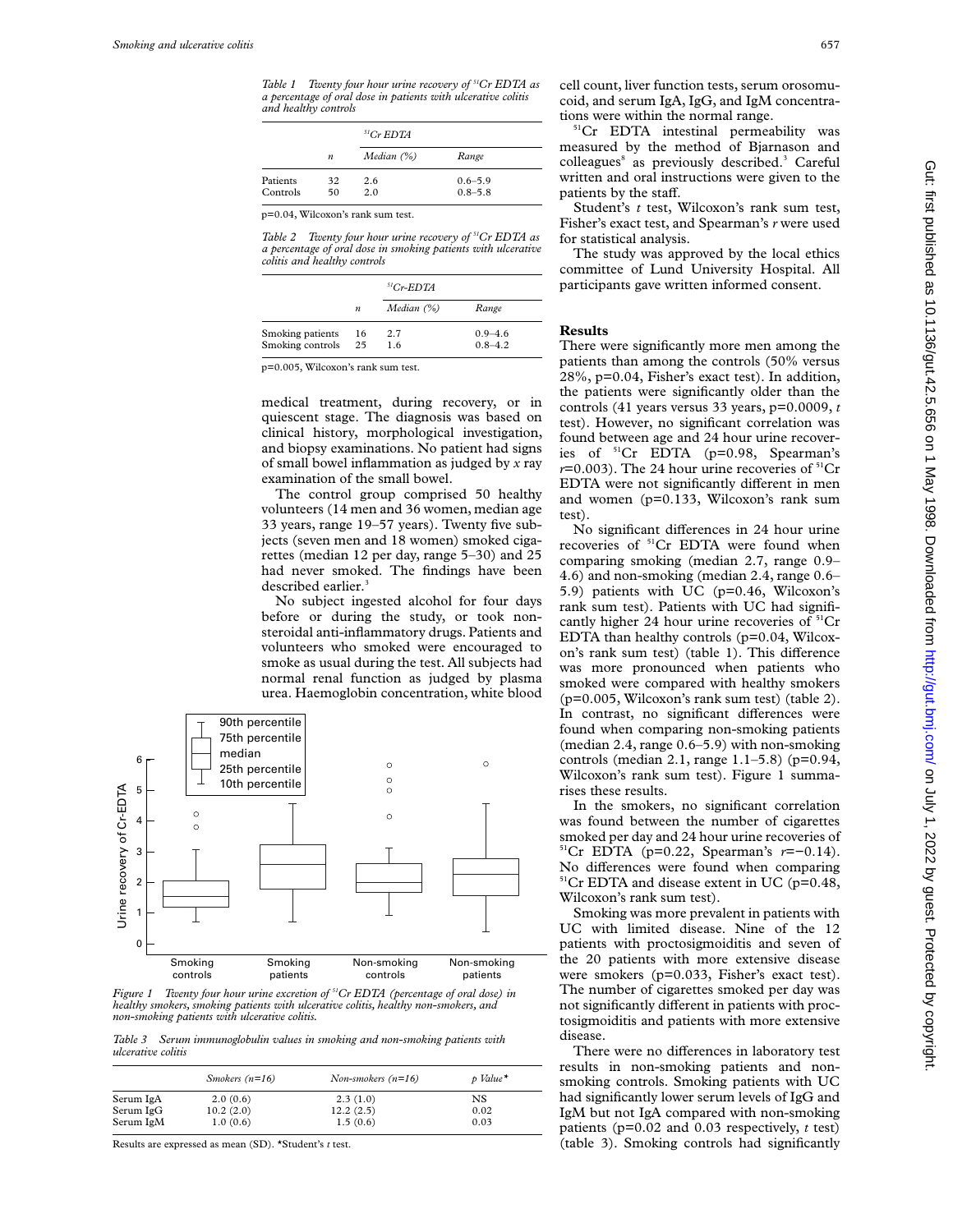*Table 1 Twenty four hour urine recovery of 51Cr EDTA as a percentage of oral dose in patients with ulcerative colitis and healthy controls*

|          |                  | ${}^{51}Cr$ EDTA |             |  |
|----------|------------------|------------------|-------------|--|
|          | $\boldsymbol{n}$ | Median $(\%)$    | Range       |  |
| Patients | 32               | 2.6              | $0.6 - 5.9$ |  |
| Controls | 50               | 2.0              | $0.8 - 5.8$ |  |

p=0.04, Wilcoxon's rank sum test.

*Table 2 Twenty four hour urine recovery of 51Cr EDTA as a percentage of oral dose in smoking patients with ulcerative colitis and healthy controls*

|                  |                  | ${}^{51}Cr$ -EDTA |             |
|------------------|------------------|-------------------|-------------|
|                  | $\boldsymbol{n}$ | Median $(\%)$     | Range       |
| Smoking patients | 16               | 2.7               | $0.9 - 4.6$ |
| Smoking controls | 25               | 1.6               | $0.8 - 4.2$ |

p=0.005, Wilcoxon's rank sum test.

medical treatment, during recovery, or in quiescent stage. The diagnosis was based on clinical history, morphological investigation, and biopsy examinations. No patient had signs of small bowel inflammation as judged by *x* ray examination of the small bowel.

The control group comprised 50 healthy volunteers (14 men and 36 women, median age 33 years, range 19–57 years). Twenty five subjects (seven men and 18 women) smoked cigarettes (median 12 per day, range 5–30) and 25 had never smoked. The findings have been described earlier.<sup>3</sup>

No subject ingested alcohol for four days before or during the study, or took nonsteroidal anti-inflammatory drugs. Patients and volunteers who smoked were encouraged to smoke as usual during the test. All subjects had normal renal function as judged by plasma urea. Haemoglobin concentration, white blood



*Figure 1 Twenty four hour urine excretion of 51Cr EDTA (percentage of oral dose) in healthy smokers, smoking patients with ulcerative colitis, healthy non-smokers, and non-smoking patients with ulcerative colitis.*

*Table 3 Serum immunoglobulin values in smoking and non-smoking patients with ulcerative colitis*

|           | Smokers $(n=16)$ | Non-smokers $(n=16)$ | $p$ Value* |
|-----------|------------------|----------------------|------------|
| Serum IgA | 2.0(0.6)         | 2.3(1.0)             | NS         |
| Serum IgG | 10.2(2.0)        | 12.2(2.5)            | 0.02       |
| Serum IgM | 1.0(0.6)         | 1.5(0.6)             | 0.03       |

Results are expressed as mean (SD). \*Student's *t* test.

cell count, liver function tests, serum orosomucoid, and serum IgA, IgG, and IgM concentrations were within the normal range.

<sup>51</sup>Cr EDTA intestinal permeability was measured by the method of Bjarnason and colleagues<sup>8</sup> as previously described.<sup>3</sup> Careful written and oral instructions were given to the patients by the staff.

Student's *t* test, Wilcoxon's rank sum test, Fisher's exact test, and Spearman's *r* were used for statistical analysis.

The study was approved by the local ethics committee of Lund University Hospital. All participants gave written informed consent.

#### **Results**

There were significantly more men among the patients than among the controls (50% versus 28%, p=0.04, Fisher's exact test). In addition, the patients were significantly older than the controls (41 years versus 33 years, p=0.0009, *t* test). However, no significant correlation was found between age and 24 hour urine recoveries of 51Cr EDTA (p=0.98, Spearman's *r*=0.003). The 24 hour urine recoveries of <sup>51</sup>Cr EDTA were not significantly different in men and women (p=0.133, Wilcoxon's rank sum test).

No significant differences in 24 hour urine recoveries of <sup>51</sup>Cr EDTA were found when comparing smoking (median 2.7, range 0.9– 4.6) and non-smoking (median 2.4, range 0.6– 5.9) patients with UC (p=0.46, Wilcoxon's rank sum test). Patients with UC had significantly higher 24 hour urine recoveries of  ${}^{51}Cr$ EDTA than healthy controls (p=0.04, Wilcoxon's rank sum test) (table 1). This difference was more pronounced when patients who smoked were compared with healthy smokers (p=0.005, Wilcoxon's rank sum test) (table 2). In contrast, no significant differences were found when comparing non-smoking patients (median 2.4, range 0.6–5.9) with non-smoking controls (median 2.1, range 1.1–5.8) (p=0.94, Wilcoxon's rank sum test). Figure 1 summarises these results.

In the smokers, no significant correlation was found between the number of cigarettes smoked per day and 24 hour urine recoveries of 51Cr EDTA (p=0.22, Spearman's *r*=−0.14). No differences were found when comparing  $51$ <sup>51</sup>Cr EDTA and disease extent in UC (p=0.48, Wilcoxon's rank sum test).

Smoking was more prevalent in patients with UC with limited disease. Nine of the 12 patients with proctosigmoiditis and seven of the 20 patients with more extensive disease were smokers (p=0.033, Fisher's exact test). The number of cigarettes smoked per day was not significantly different in patients with proctosigmoiditis and patients with more extensive disease.

There were no differences in laboratory test results in non-smoking patients and nonsmoking controls. Smoking patients with UC had significantly lower serum levels of IgG and IgM but not IgA compared with non-smoking patients (p=0.02 and 0.03 respectively, *t* test) (table 3). Smoking controls had significantly